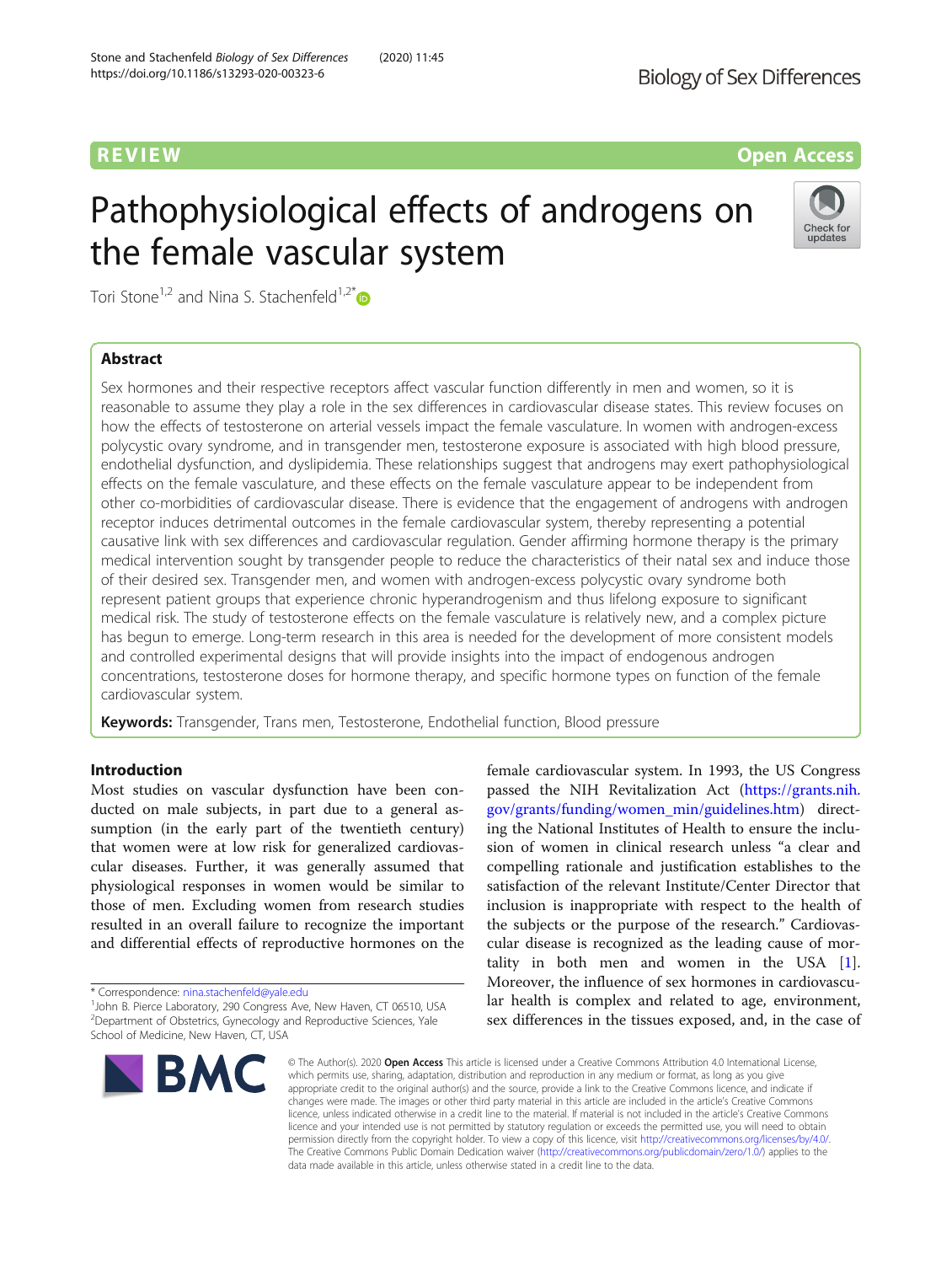# **REVIEW ACCESS AND LOCAL CONTRACT CONTRACT OF ACCESS**

# Pathophysiological effects of androgens on the female vascular system



Tori Stone<sup>1,2</sup> and Nina S. Stachenfeld<sup>1,2\*</sup>

# Abstract

Sex hormones and their respective receptors affect vascular function differently in men and women, so it is reasonable to assume they play a role in the sex differences in cardiovascular disease states. This review focuses on how the effects of testosterone on arterial vessels impact the female vasculature. In women with androgen-excess polycystic ovary syndrome, and in transgender men, testosterone exposure is associated with high blood pressure, endothelial dysfunction, and dyslipidemia. These relationships suggest that androgens may exert pathophysiological effects on the female vasculature, and these effects on the female vasculature appear to be independent from other co-morbidities of cardiovascular disease. There is evidence that the engagement of androgens with androgen receptor induces detrimental outcomes in the female cardiovascular system, thereby representing a potential causative link with sex differences and cardiovascular regulation. Gender affirming hormone therapy is the primary medical intervention sought by transgender people to reduce the characteristics of their natal sex and induce those of their desired sex. Transgender men, and women with androgen-excess polycystic ovary syndrome both represent patient groups that experience chronic hyperandrogenism and thus lifelong exposure to significant medical risk. The study of testosterone effects on the female vasculature is relatively new, and a complex picture has begun to emerge. Long-term research in this area is needed for the development of more consistent models and controlled experimental designs that will provide insights into the impact of endogenous androgen concentrations, testosterone doses for hormone therapy, and specific hormone types on function of the female cardiovascular system.

Keywords: Transgender, Trans men, Testosterone, Endothelial function, Blood pressure

# Introduction

Most studies on vascular dysfunction have been conducted on male subjects, in part due to a general assumption (in the early part of the twentieth century) that women were at low risk for generalized cardiovascular diseases. Further, it was generally assumed that physiological responses in women would be similar to those of men. Excluding women from research studies resulted in an overall failure to recognize the important and differential effects of reproductive hormones on the

\* Correspondence: [nina.stachenfeld@yale.edu](mailto:nina.stachenfeld@yale.edu) <sup>1</sup>

<sup>&</sup>lt;sup>1</sup>John B. Pierce Laboratory, 290 Congress Ave, New Haven, CT 06510, USA <sup>2</sup>Department of Obstetrics, Gynecology and Reproductive Sciences, Yale School of Medicine, New Haven, CT, USA



female cardiovascular system. In 1993, the US Congress passed the NIH Revitalization Act ([https://grants.nih.](https://grants.nih.gov/grants/funding/women_min/guidelines.htm) [gov/grants/funding/women\\_min/guidelines.htm\)](https://grants.nih.gov/grants/funding/women_min/guidelines.htm) directing the National Institutes of Health to ensure the inclusion of women in clinical research unless "a clear and compelling rationale and justification establishes to the satisfaction of the relevant Institute/Center Director that inclusion is inappropriate with respect to the health of the subjects or the purpose of the research." Cardiovascular disease is recognized as the leading cause of mortality in both men and women in the USA  $[1]$  $[1]$ . Moreover, the influence of sex hormones in cardiovascular health is complex and related to age, environment, sex differences in the tissues exposed, and, in the case of

© The Author(s), 2020 **Open Access** This article is licensed under a Creative Commons Attribution 4.0 International License, which permits use, sharing, adaptation, distribution and reproduction in any medium or format, as long as you give appropriate credit to the original author(s) and the source, provide a link to the Creative Commons licence, and indicate if changes were made. The images or other third party material in this article are included in the article's Creative Commons licence, unless indicated otherwise in a credit line to the material. If material is not included in the article's Creative Commons licence and your intended use is not permitted by statutory regulation or exceeds the permitted use, you will need to obtain permission directly from the copyright holder. To view a copy of this licence, visit [http://creativecommons.org/licenses/by/4.0/.](http://creativecommons.org/licenses/by/4.0/) The Creative Commons Public Domain Dedication waiver [\(http://creativecommons.org/publicdomain/zero/1.0/](http://creativecommons.org/publicdomain/zero/1.0/)) applies to the data made available in this article, unless otherwise stated in a credit line to the data.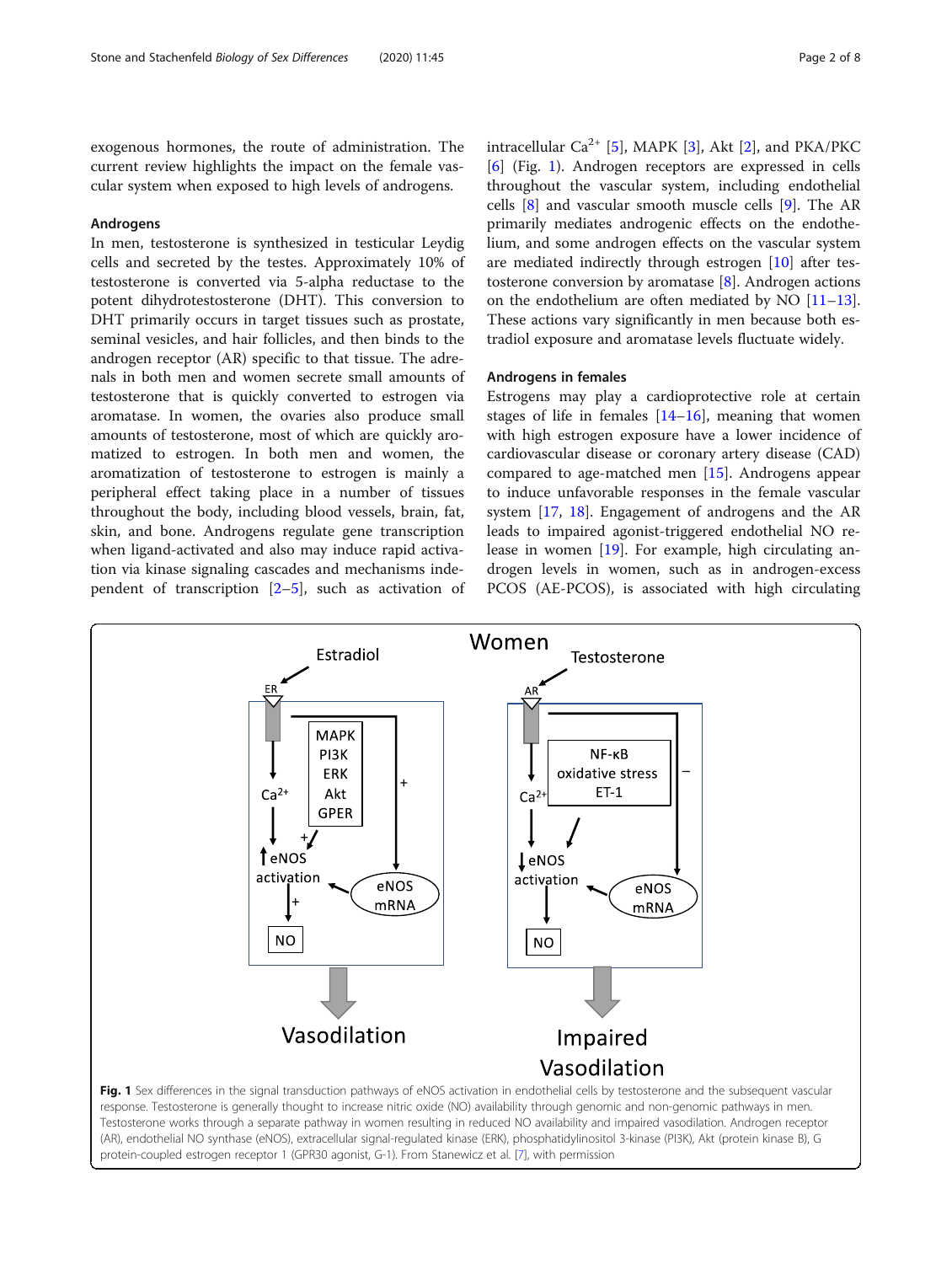exogenous hormones, the route of administration. The current review highlights the impact on the female vascular system when exposed to high levels of androgens.

### Androgens

In men, testosterone is synthesized in testicular Leydig cells and secreted by the testes. Approximately 10% of testosterone is converted via 5-alpha reductase to the potent dihydrotestosterone (DHT). This conversion to DHT primarily occurs in target tissues such as prostate, seminal vesicles, and hair follicles, and then binds to the androgen receptor (AR) specific to that tissue. The adrenals in both men and women secrete small amounts of testosterone that is quickly converted to estrogen via aromatase. In women, the ovaries also produce small amounts of testosterone, most of which are quickly aromatized to estrogen. In both men and women, the aromatization of testosterone to estrogen is mainly a peripheral effect taking place in a number of tissues throughout the body, including blood vessels, brain, fat, skin, and bone. Androgens regulate gene transcription when ligand-activated and also may induce rapid activation via kinase signaling cascades and mechanisms independent of transcription  $[2-5]$  $[2-5]$  $[2-5]$  $[2-5]$ , such as activation of

intracellular  $Ca^{2+}$  $Ca^{2+}$  $Ca^{2+}$  [[5](#page-6-0)], MAPK [[3](#page-6-0)], Akt [2], and PKA/PKC [[6\]](#page-6-0) (Fig. 1). Androgen receptors are expressed in cells throughout the vascular system, including endothelial cells [[8\]](#page-6-0) and vascular smooth muscle cells [[9\]](#page-6-0). The AR primarily mediates androgenic effects on the endothelium, and some androgen effects on the vascular system are mediated indirectly through estrogen [[10\]](#page-6-0) after testosterone conversion by aromatase [[8\]](#page-6-0). Androgen actions on the endothelium are often mediated by NO [[11](#page-6-0)–[13](#page-6-0)]. These actions vary significantly in men because both estradiol exposure and aromatase levels fluctuate widely.

#### Androgens in females

Estrogens may play a cardioprotective role at certain stages of life in females  $[14–16]$  $[14–16]$  $[14–16]$ , meaning that women with high estrogen exposure have a lower incidence of cardiovascular disease or coronary artery disease (CAD) compared to age-matched men [\[15](#page-6-0)]. Androgens appear to induce unfavorable responses in the female vascular system [[17,](#page-6-0) [18](#page-6-0)]. Engagement of androgens and the AR leads to impaired agonist-triggered endothelial NO release in women [[19\]](#page-6-0). For example, high circulating androgen levels in women, such as in androgen-excess PCOS (AE-PCOS), is associated with high circulating



protein-coupled estrogen receptor 1 (GPR30 agonist, G-1). From Stanewicz et al. [\[7\]](#page-6-0), with permission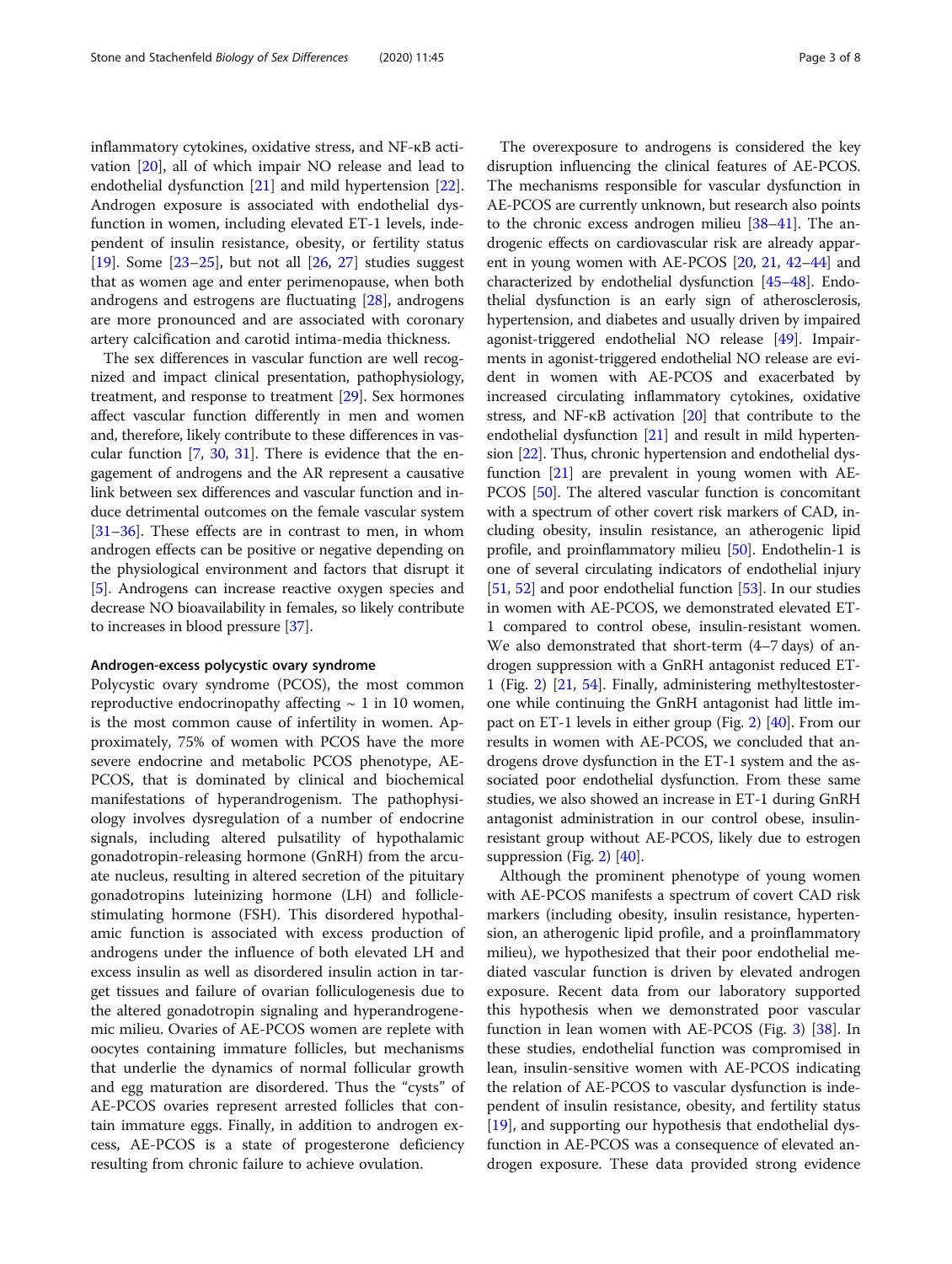inflammatory cytokines, oxidative stress, and NF-κB activation [[20\]](#page-6-0), all of which impair NO release and lead to endothelial dysfunction [\[21](#page-6-0)] and mild hypertension [\[22](#page-6-0)]. Androgen exposure is associated with endothelial dysfunction in women, including elevated ET-1 levels, independent of insulin resistance, obesity, or fertility status [[19\]](#page-6-0). Some  $[23-25]$  $[23-25]$  $[23-25]$  $[23-25]$  $[23-25]$ , but not all  $[26, 27]$  $[26, 27]$  $[26, 27]$  $[26, 27]$  $[26, 27]$  studies suggest that as women age and enter perimenopause, when both androgens and estrogens are fluctuating [[28\]](#page-6-0), androgens are more pronounced and are associated with coronary artery calcification and carotid intima-media thickness.

The sex differences in vascular function are well recognized and impact clinical presentation, pathophysiology, treatment, and response to treatment [[29](#page-6-0)]. Sex hormones affect vascular function differently in men and women and, therefore, likely contribute to these differences in vascular function [[7,](#page-6-0) [30](#page-6-0), [31\]](#page-6-0). There is evidence that the engagement of androgens and the AR represent a causative link between sex differences and vascular function and induce detrimental outcomes on the female vascular system [[31](#page-6-0)–[36\]](#page-6-0). These effects are in contrast to men, in whom androgen effects can be positive or negative depending on the physiological environment and factors that disrupt it [[5\]](#page-6-0). Androgens can increase reactive oxygen species and decrease NO bioavailability in females, so likely contribute to increases in blood pressure [\[37\]](#page-6-0).

#### Androgen-excess polycystic ovary syndrome

Polycystic ovary syndrome (PCOS), the most common reproductive endocrinopathy affecting  $\sim$  1 in 10 women, is the most common cause of infertility in women. Approximately, 75% of women with PCOS have the more severe endocrine and metabolic PCOS phenotype, AE-PCOS, that is dominated by clinical and biochemical manifestations of hyperandrogenism. The pathophysiology involves dysregulation of a number of endocrine signals, including altered pulsatility of hypothalamic gonadotropin-releasing hormone (GnRH) from the arcuate nucleus, resulting in altered secretion of the pituitary gonadotropins luteinizing hormone (LH) and folliclestimulating hormone (FSH). This disordered hypothalamic function is associated with excess production of androgens under the influence of both elevated LH and excess insulin as well as disordered insulin action in target tissues and failure of ovarian folliculogenesis due to the altered gonadotropin signaling and hyperandrogenemic milieu. Ovaries of AE-PCOS women are replete with oocytes containing immature follicles, but mechanisms that underlie the dynamics of normal follicular growth and egg maturation are disordered. Thus the "cysts" of AE-PCOS ovaries represent arrested follicles that contain immature eggs. Finally, in addition to androgen excess, AE-PCOS is a state of progesterone deficiency resulting from chronic failure to achieve ovulation.

The overexposure to androgens is considered the key disruption influencing the clinical features of AE-PCOS. The mechanisms responsible for vascular dysfunction in AE-PCOS are currently unknown, but research also points to the chronic excess androgen milieu [\[38](#page-6-0)–[41](#page-6-0)]. The androgenic effects on cardiovascular risk are already apparent in young women with AE-PCOS [\[20](#page-6-0), [21](#page-6-0), [42](#page-6-0)–[44](#page-7-0)] and characterized by endothelial dysfunction [\[45](#page-7-0)–[48](#page-7-0)]. Endothelial dysfunction is an early sign of atherosclerosis, hypertension, and diabetes and usually driven by impaired agonist-triggered endothelial NO release [\[49\]](#page-7-0). Impairments in agonist-triggered endothelial NO release are evident in women with AE-PCOS and exacerbated by increased circulating inflammatory cytokines, oxidative stress, and NF-κB activation [[20\]](#page-6-0) that contribute to the endothelial dysfunction [[21](#page-6-0)] and result in mild hypertension [\[22\]](#page-6-0). Thus, chronic hypertension and endothelial dysfunction [\[21\]](#page-6-0) are prevalent in young women with AE-PCOS [\[50\]](#page-7-0). The altered vascular function is concomitant with a spectrum of other covert risk markers of CAD, including obesity, insulin resistance, an atherogenic lipid profile, and proinflammatory milieu [\[50\]](#page-7-0). Endothelin-1 is one of several circulating indicators of endothelial injury [[51](#page-7-0), [52](#page-7-0)] and poor endothelial function [[53](#page-7-0)]. In our studies in women with AE-PCOS, we demonstrated elevated ET-1 compared to control obese, insulin-resistant women. We also demonstrated that short-term (4–7 days) of androgen suppression with a GnRH antagonist reduced ET-1 (Fig. [2](#page-3-0)) [\[21,](#page-6-0) [54](#page-7-0)]. Finally, administering methyltestosterone while continuing the GnRH antagonist had little impact on ET-1 levels in either group (Fig. [2](#page-3-0)) [\[40\]](#page-6-0). From our results in women with AE-PCOS, we concluded that androgens drove dysfunction in the ET-1 system and the associated poor endothelial dysfunction. From these same studies, we also showed an increase in ET-1 during GnRH antagonist administration in our control obese, insulinresistant group without AE-PCOS, likely due to estrogen suppression (Fig. [2](#page-3-0)) [\[40\]](#page-6-0).

Although the prominent phenotype of young women with AE-PCOS manifests a spectrum of covert CAD risk markers (including obesity, insulin resistance, hypertension, an atherogenic lipid profile, and a proinflammatory milieu), we hypothesized that their poor endothelial mediated vascular function is driven by elevated androgen exposure. Recent data from our laboratory supported this hypothesis when we demonstrated poor vascular function in lean women with AE-PCOS (Fig. [3\)](#page-3-0) [\[38\]](#page-6-0). In these studies, endothelial function was compromised in lean, insulin-sensitive women with AE-PCOS indicating the relation of AE-PCOS to vascular dysfunction is independent of insulin resistance, obesity, and fertility status [[19\]](#page-6-0), and supporting our hypothesis that endothelial dysfunction in AE-PCOS was a consequence of elevated androgen exposure. These data provided strong evidence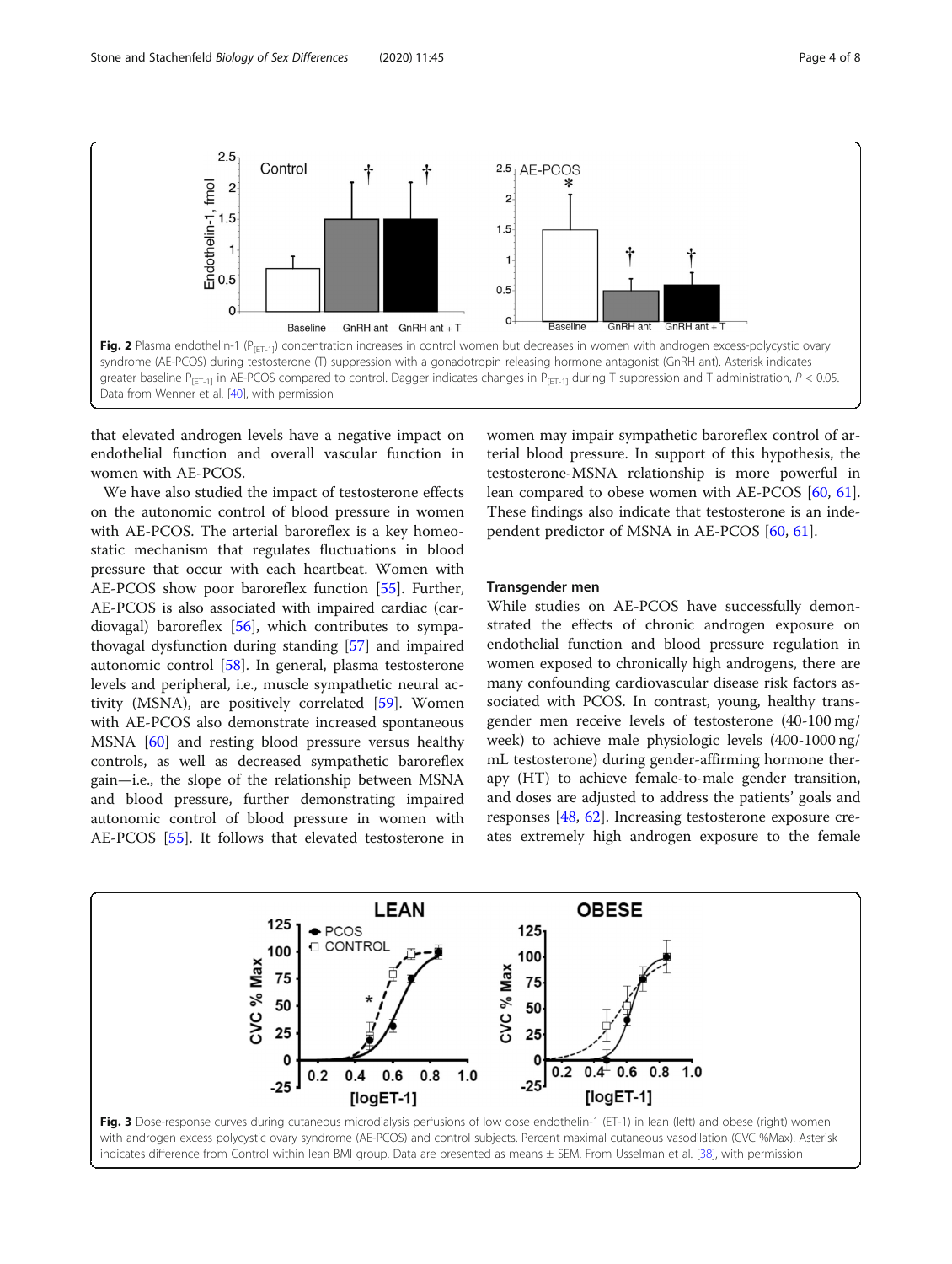<span id="page-3-0"></span>

that elevated androgen levels have a negative impact on endothelial function and overall vascular function in women with AE-PCOS.

We have also studied the impact of testosterone effects on the autonomic control of blood pressure in women with AE-PCOS. The arterial baroreflex is a key homeostatic mechanism that regulates fluctuations in blood pressure that occur with each heartbeat. Women with AE-PCOS show poor baroreflex function [\[55](#page-7-0)]. Further, AE-PCOS is also associated with impaired cardiac (cardiovagal) baroreflex [\[56](#page-7-0)], which contributes to sympathovagal dysfunction during standing [[57](#page-7-0)] and impaired autonomic control [[58\]](#page-7-0). In general, plasma testosterone levels and peripheral, i.e., muscle sympathetic neural activity (MSNA), are positively correlated [[59\]](#page-7-0). Women with AE-PCOS also demonstrate increased spontaneous MSNA [\[60](#page-7-0)] and resting blood pressure versus healthy controls, as well as decreased sympathetic baroreflex gain—i.e., the slope of the relationship between MSNA and blood pressure, further demonstrating impaired autonomic control of blood pressure in women with AE-PCOS [\[55](#page-7-0)]. It follows that elevated testosterone in

women may impair sympathetic baroreflex control of arterial blood pressure. In support of this hypothesis, the testosterone-MSNA relationship is more powerful in lean compared to obese women with AE-PCOS [\[60,](#page-7-0) [61](#page-7-0)]. These findings also indicate that testosterone is an independent predictor of MSNA in AE-PCOS [[60](#page-7-0), [61](#page-7-0)].

#### Transgender men

While studies on AE-PCOS have successfully demonstrated the effects of chronic androgen exposure on endothelial function and blood pressure regulation in women exposed to chronically high androgens, there are many confounding cardiovascular disease risk factors associated with PCOS. In contrast, young, healthy transgender men receive levels of testosterone (40-100 mg/ week) to achieve male physiologic levels (400-1000 ng/ mL testosterone) during gender-affirming hormone therapy (HT) to achieve female-to-male gender transition, and doses are adjusted to address the patients' goals and responses [[48,](#page-7-0) [62\]](#page-7-0). Increasing testosterone exposure creates extremely high androgen exposure to the female

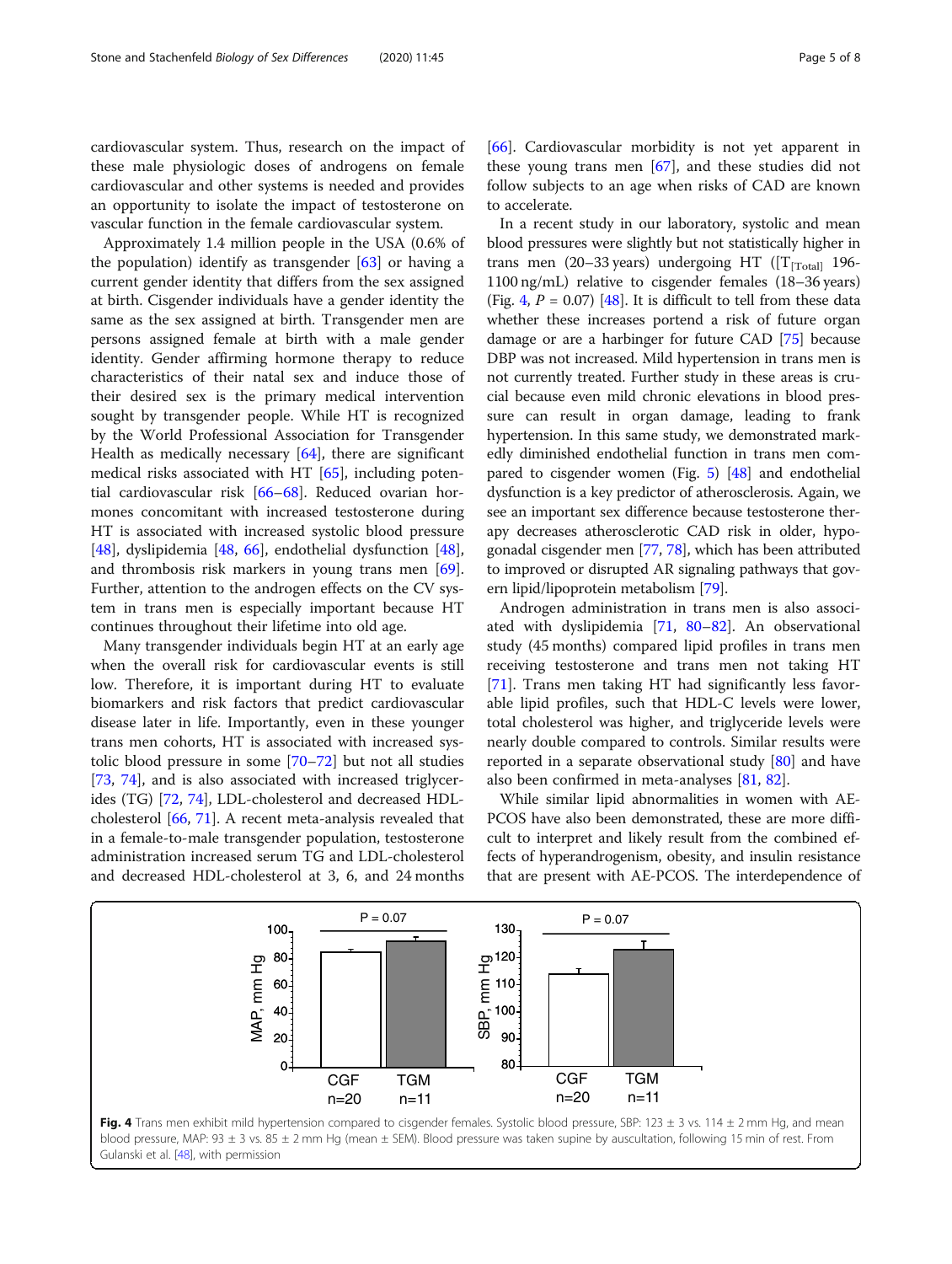cardiovascular system. Thus, research on the impact of these male physiologic doses of androgens on female cardiovascular and other systems is needed and provides an opportunity to isolate the impact of testosterone on vascular function in the female cardiovascular system.

Approximately 1.4 million people in the USA (0.6% of the population) identify as transgender  $[63]$  or having a current gender identity that differs from the sex assigned at birth. Cisgender individuals have a gender identity the same as the sex assigned at birth. Transgender men are persons assigned female at birth with a male gender identity. Gender affirming hormone therapy to reduce characteristics of their natal sex and induce those of their desired sex is the primary medical intervention sought by transgender people. While HT is recognized by the World Professional Association for Transgender Health as medically necessary [\[64](#page-7-0)], there are significant medical risks associated with HT  $[65]$  $[65]$  $[65]$ , including potential cardiovascular risk [\[66](#page-7-0)–[68\]](#page-7-0). Reduced ovarian hormones concomitant with increased testosterone during HT is associated with increased systolic blood pressure [[48\]](#page-7-0), dyslipidemia [[48,](#page-7-0) [66\]](#page-7-0), endothelial dysfunction [\[48](#page-7-0)], and thrombosis risk markers in young trans men [\[69](#page-7-0)]. Further, attention to the androgen effects on the CV system in trans men is especially important because HT continues throughout their lifetime into old age.

Many transgender individuals begin HT at an early age when the overall risk for cardiovascular events is still low. Therefore, it is important during HT to evaluate biomarkers and risk factors that predict cardiovascular disease later in life. Importantly, even in these younger trans men cohorts, HT is associated with increased systolic blood pressure in some [\[70](#page-7-0)–[72](#page-7-0)] but not all studies [[73,](#page-7-0) [74\]](#page-7-0), and is also associated with increased triglycerides (TG) [\[72](#page-7-0), [74](#page-7-0)], LDL-cholesterol and decreased HDLcholesterol [\[66](#page-7-0), [71](#page-7-0)]. A recent meta-analysis revealed that in a female-to-male transgender population, testosterone administration increased serum TG and LDL-cholesterol and decreased HDL-cholesterol at 3, 6, and 24 months

[[66\]](#page-7-0). Cardiovascular morbidity is not yet apparent in these young trans men [\[67\]](#page-7-0), and these studies did not follow subjects to an age when risks of CAD are known to accelerate.

In a recent study in our laboratory, systolic and mean blood pressures were slightly but not statistically higher in trans men (20–33 years) undergoing HT ( $[T_{[Total]}$  196-1100 ng/mL) relative to cisgender females (18–36 years) (Fig. 4,  $P = 0.07$ ) [\[48\]](#page-7-0). It is difficult to tell from these data whether these increases portend a risk of future organ damage or are a harbinger for future CAD [[75](#page-7-0)] because DBP was not increased. Mild hypertension in trans men is not currently treated. Further study in these areas is crucial because even mild chronic elevations in blood pressure can result in organ damage, leading to frank hypertension. In this same study, we demonstrated markedly diminished endothelial function in trans men compared to cisgender women (Fig. [5](#page-5-0)) [[48](#page-7-0)] and endothelial dysfunction is a key predictor of atherosclerosis. Again, we see an important sex difference because testosterone therapy decreases atherosclerotic CAD risk in older, hypogonadal cisgender men [[77](#page-7-0), [78\]](#page-7-0), which has been attributed to improved or disrupted AR signaling pathways that govern lipid/lipoprotein metabolism [[79](#page-7-0)].

Androgen administration in trans men is also associated with dyslipidemia [[71](#page-7-0), [80](#page-7-0)–[82\]](#page-7-0). An observational study (45 months) compared lipid profiles in trans men receiving testosterone and trans men not taking HT [[71\]](#page-7-0). Trans men taking HT had significantly less favorable lipid profiles, such that HDL-C levels were lower, total cholesterol was higher, and triglyceride levels were nearly double compared to controls. Similar results were reported in a separate observational study [\[80\]](#page-7-0) and have also been confirmed in meta-analyses [\[81](#page-7-0), [82](#page-7-0)].

While similar lipid abnormalities in women with AE-PCOS have also been demonstrated, these are more difficult to interpret and likely result from the combined effects of hyperandrogenism, obesity, and insulin resistance that are present with AE-PCOS. The interdependence of

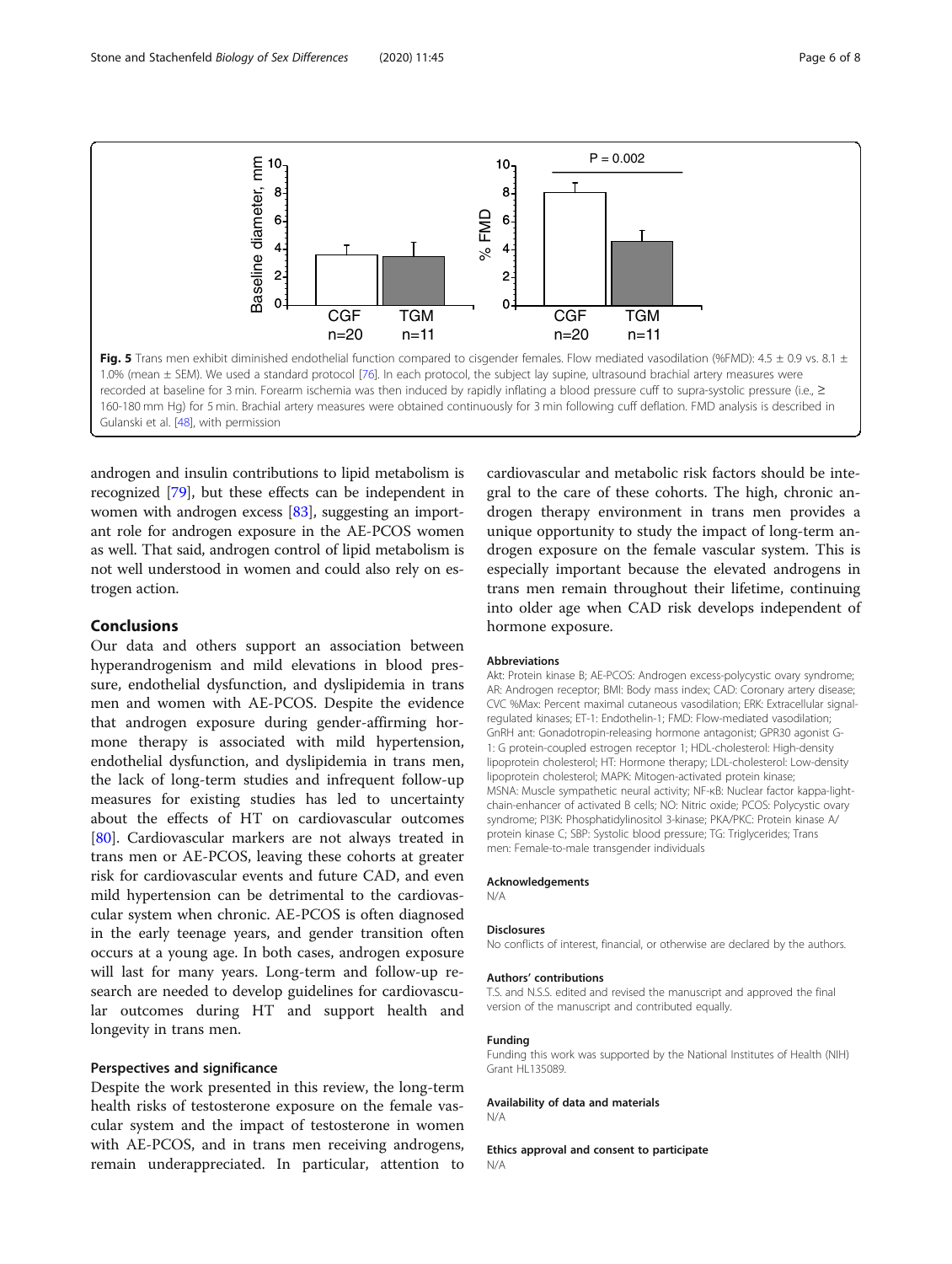<span id="page-5-0"></span>

androgen and insulin contributions to lipid metabolism is recognized [\[79\]](#page-7-0), but these effects can be independent in women with androgen excess [\[83\]](#page-7-0), suggesting an important role for androgen exposure in the AE-PCOS women as well. That said, androgen control of lipid metabolism is not well understood in women and could also rely on estrogen action.

# Conclusions

Our data and others support an association between hyperandrogenism and mild elevations in blood pressure, endothelial dysfunction, and dyslipidemia in trans men and women with AE-PCOS. Despite the evidence that androgen exposure during gender-affirming hormone therapy is associated with mild hypertension, endothelial dysfunction, and dyslipidemia in trans men, the lack of long-term studies and infrequent follow-up measures for existing studies has led to uncertainty about the effects of HT on cardiovascular outcomes [[80\]](#page-7-0). Cardiovascular markers are not always treated in trans men or AE-PCOS, leaving these cohorts at greater risk for cardiovascular events and future CAD, and even mild hypertension can be detrimental to the cardiovascular system when chronic. AE-PCOS is often diagnosed in the early teenage years, and gender transition often occurs at a young age. In both cases, androgen exposure will last for many years. Long-term and follow-up research are needed to develop guidelines for cardiovascular outcomes during HT and support health and longevity in trans men.

## Perspectives and significance

Despite the work presented in this review, the long-term health risks of testosterone exposure on the female vascular system and the impact of testosterone in women with AE-PCOS, and in trans men receiving androgens, remain underappreciated. In particular, attention to

cardiovascular and metabolic risk factors should be integral to the care of these cohorts. The high, chronic androgen therapy environment in trans men provides a unique opportunity to study the impact of long-term androgen exposure on the female vascular system. This is especially important because the elevated androgens in trans men remain throughout their lifetime, continuing into older age when CAD risk develops independent of hormone exposure.

#### Abbreviations

Akt: Protein kinase B; AE-PCOS: Androgen excess-polycystic ovary syndrome; AR: Androgen receptor; BMI: Body mass index; CAD: Coronary artery disease; CVC %Max: Percent maximal cutaneous vasodilation; ERK: Extracellular signalregulated kinases; ET-1: Endothelin-1; FMD: Flow-mediated vasodilation; GnRH ant: Gonadotropin-releasing hormone antagonist; GPR30 agonist G-1: G protein-coupled estrogen receptor 1; HDL-cholesterol: High-density lipoprotein cholesterol; HT: Hormone therapy; LDL-cholesterol: Low-density lipoprotein cholesterol; MAPK: Mitogen-activated protein kinase; MSNA: Muscle sympathetic neural activity; NF-κB: Nuclear factor kappa-lightchain-enhancer of activated B cells; NO: Nitric oxide; PCOS: Polycystic ovary syndrome; PI3K: Phosphatidylinositol 3-kinase; PKA/PKC: Protein kinase A/ protein kinase C; SBP: Systolic blood pressure; TG: Triglycerides; Trans men: Female-to-male transgender individuals

#### Acknowledgements

N/A

#### Disclosures

No conflicts of interest, financial, or otherwise are declared by the authors.

#### Authors' contributions

T.S. and N.S.S. edited and revised the manuscript and approved the final version of the manuscript and contributed equally.

#### Funding

Funding this work was supported by the National Institutes of Health (NIH) Grant HL135089.

#### Availability of data and materials

N/A

#### Ethics approval and consent to participate

N/A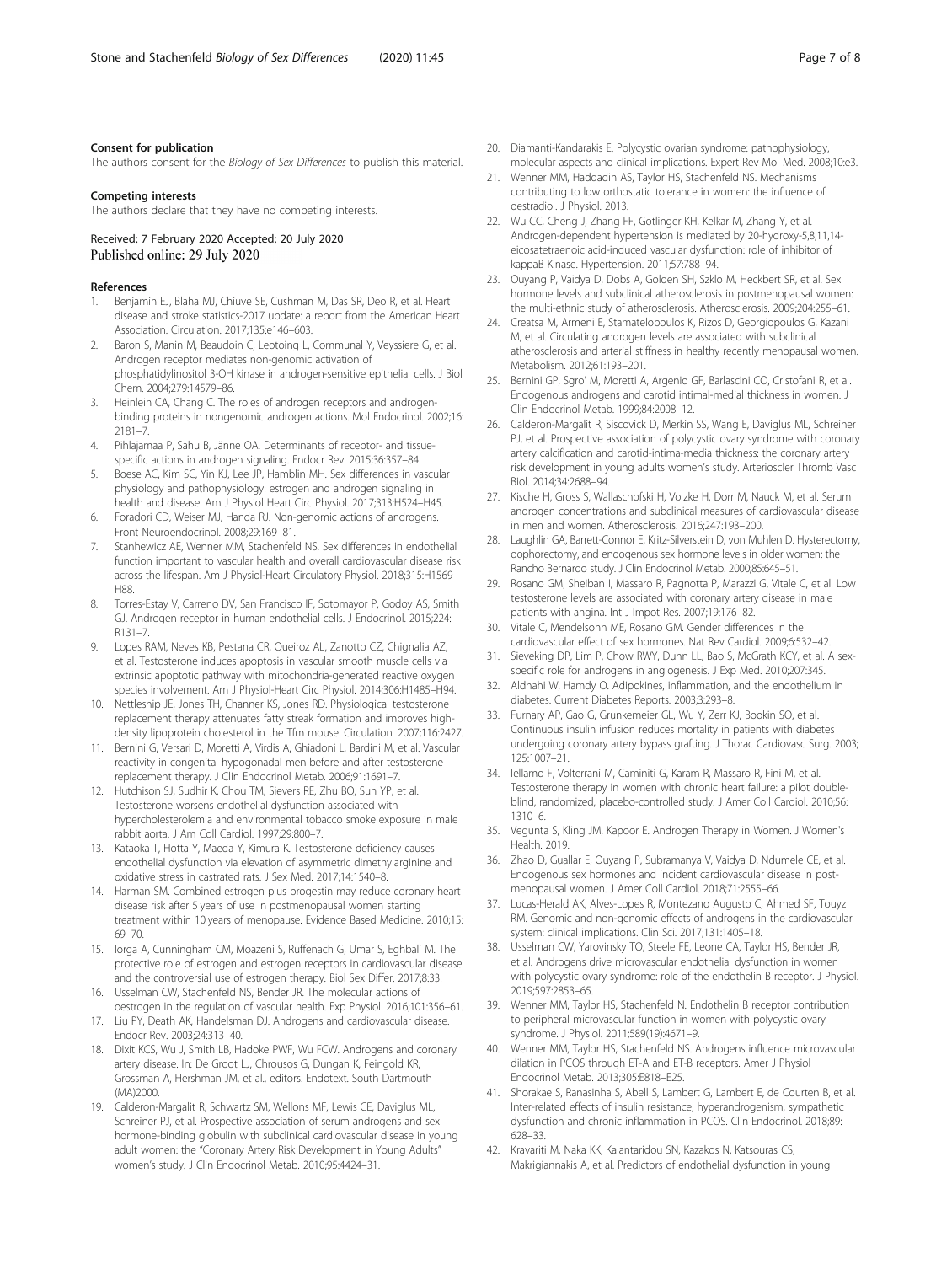#### <span id="page-6-0"></span>Consent for publication

The authors consent for the Biology of Sex Differences to publish this material.

#### Competing interests

The authors declare that they have no competing interests.

#### Received: 7 February 2020 Accepted: 20 July 2020 Published online: 29 July 2020

#### References

- Benjamin EJ, Blaha MJ, Chiuve SE, Cushman M, Das SR, Deo R, et al. Heart disease and stroke statistics-2017 update: a report from the American Heart Association. Circulation. 2017;135:e146–603.
- 2. Baron S, Manin M, Beaudoin C, Leotoing L, Communal Y, Veyssiere G, et al. Androgen receptor mediates non-genomic activation of phosphatidylinositol 3-OH kinase in androgen-sensitive epithelial cells. J Biol Chem. 2004;279:14579–86.
- 3. Heinlein CA, Chang C. The roles of androgen receptors and androgenbinding proteins in nongenomic androgen actions. Mol Endocrinol. 2002;16: 2181–7.
- 4. Pihlajamaa P, Sahu B, Jänne OA. Determinants of receptor- and tissuespecific actions in androgen signaling. Endocr Rev. 2015;36:357–84.
- 5. Boese AC, Kim SC, Yin KJ, Lee JP, Hamblin MH. Sex differences in vascular physiology and pathophysiology: estrogen and androgen signaling in health and disease. Am J Physiol Heart Circ Physiol. 2017;313:H524–H45.
- 6. Foradori CD, Weiser MJ, Handa RJ. Non-genomic actions of androgens. Front Neuroendocrinol. 2008;29:169–81.
- Stanhewicz AE, Wenner MM, Stachenfeld NS. Sex differences in endothelial function important to vascular health and overall cardiovascular disease risk across the lifespan. Am J Physiol-Heart Circulatory Physiol. 2018;315:H1569– H88.
- 8. Torres-Estay V, Carreno DV, San Francisco IF, Sotomayor P, Godoy AS, Smith GJ. Androgen receptor in human endothelial cells. J Endocrinol. 2015;224: R131–7.
- 9. Lopes RAM, Neves KB, Pestana CR, Queiroz AL, Zanotto CZ, Chignalia AZ, et al. Testosterone induces apoptosis in vascular smooth muscle cells via extrinsic apoptotic pathway with mitochondria-generated reactive oxygen species involvement. Am J Physiol-Heart Circ Physiol. 2014;306:H1485–H94.
- 10. Nettleship JE, Jones TH, Channer KS, Jones RD. Physiological testosterone replacement therapy attenuates fatty streak formation and improves highdensity lipoprotein cholesterol in the Tfm mouse. Circulation. 2007;116:2427.
- 11. Bernini G, Versari D, Moretti A, Virdis A, Ghiadoni L, Bardini M, et al. Vascular reactivity in congenital hypogonadal men before and after testosterone replacement therapy. J Clin Endocrinol Metab. 2006;91:1691–7.
- 12. Hutchison SJ, Sudhir K, Chou TM, Sievers RE, Zhu BQ, Sun YP, et al. Testosterone worsens endothelial dysfunction associated with hypercholesterolemia and environmental tobacco smoke exposure in male rabbit aorta. J Am Coll Cardiol. 1997;29:800–7.
- 13. Kataoka T, Hotta Y, Maeda Y, Kimura K. Testosterone deficiency causes endothelial dysfunction via elevation of asymmetric dimethylarginine and oxidative stress in castrated rats. J Sex Med. 2017;14:1540–8.
- 14. Harman SM. Combined estrogen plus progestin may reduce coronary heart disease risk after 5 years of use in postmenopausal women starting treatment within 10 years of menopause. Evidence Based Medicine. 2010;15: 69–70.
- 15. Iorga A, Cunningham CM, Moazeni S, Ruffenach G, Umar S, Eghbali M. The protective role of estrogen and estrogen receptors in cardiovascular disease and the controversial use of estrogen therapy. Biol Sex Differ. 2017;8:33.
- 16. Usselman CW, Stachenfeld NS, Bender JR. The molecular actions of oestrogen in the regulation of vascular health. Exp Physiol. 2016;101:356–61.
- 17. Liu PY, Death AK, Handelsman DJ. Androgens and cardiovascular disease. Endocr Rev. 2003;24:313–40.
- 18. Dixit KCS, Wu J, Smith LB, Hadoke PWF, Wu FCW. Androgens and coronary artery disease. In: De Groot LJ, Chrousos G, Dungan K, Feingold KR, Grossman A, Hershman JM, et al., editors. Endotext. South Dartmouth (MA)2000.
- 19. Calderon-Margalit R, Schwartz SM, Wellons MF, Lewis CE, Daviglus ML, Schreiner PJ, et al. Prospective association of serum androgens and sex hormone-binding globulin with subclinical cardiovascular disease in young adult women: the "Coronary Artery Risk Development in Young Adults" women's study. J Clin Endocrinol Metab. 2010;95:4424–31.
- 20. Diamanti-Kandarakis E. Polycystic ovarian syndrome: pathophysiology, molecular aspects and clinical implications. Expert Rev Mol Med. 2008;10:e3.
- 21. Wenner MM, Haddadin AS, Taylor HS, Stachenfeld NS. Mechanisms contributing to low orthostatic tolerance in women: the influence of oestradiol. J Physiol. 2013.
- 22. Wu CC, Cheng J, Zhang FF, Gotlinger KH, Kelkar M, Zhang Y, et al. Androgen-dependent hypertension is mediated by 20-hydroxy-5,8,11,14 eicosatetraenoic acid-induced vascular dysfunction: role of inhibitor of kappaB Kinase. Hypertension. 2011;57:788–94.
- 23. Ouyang P, Vaidya D, Dobs A, Golden SH, Szklo M, Heckbert SR, et al. Sex hormone levels and subclinical atherosclerosis in postmenopausal women: the multi-ethnic study of atherosclerosis. Atherosclerosis. 2009;204:255–61.
- 24. Creatsa M, Armeni E, Stamatelopoulos K, Rizos D, Georgiopoulos G, Kazani M, et al. Circulating androgen levels are associated with subclinical atherosclerosis and arterial stiffness in healthy recently menopausal women. Metabolism. 2012;61:193–201.
- 25. Bernini GP, Sgro' M, Moretti A, Argenio GF, Barlascini CO, Cristofani R, et al. Endogenous androgens and carotid intimal-medial thickness in women. J Clin Endocrinol Metab. 1999;84:2008–12.
- 26. Calderon-Margalit R, Siscovick D, Merkin SS, Wang E, Daviglus ML, Schreiner PJ, et al. Prospective association of polycystic ovary syndrome with coronary artery calcification and carotid-intima-media thickness: the coronary artery risk development in young adults women's study. Arterioscler Thromb Vasc Biol. 2014;34:2688–94.
- 27. Kische H, Gross S, Wallaschofski H, Volzke H, Dorr M, Nauck M, et al. Serum androgen concentrations and subclinical measures of cardiovascular disease in men and women. Atherosclerosis. 2016;247:193–200.
- 28. Laughlin GA, Barrett-Connor E, Kritz-Silverstein D, von Muhlen D. Hysterectomy, oophorectomy, and endogenous sex hormone levels in older women: the Rancho Bernardo study. J Clin Endocrinol Metab. 2000;85:645–51.
- 29. Rosano GM, Sheiban I, Massaro R, Pagnotta P, Marazzi G, Vitale C, et al. Low testosterone levels are associated with coronary artery disease in male patients with angina. Int J Impot Res. 2007;19:176–82.
- 30. Vitale C, Mendelsohn ME, Rosano GM. Gender differences in the cardiovascular effect of sex hormones. Nat Rev Cardiol. 2009;6:532–42.
- 31. Sieveking DP, Lim P, Chow RWY, Dunn LL, Bao S, McGrath KCY, et al. A sexspecific role for androgens in angiogenesis. J Exp Med. 2010;207:345.
- 32. Aldhahi W, Hamdy O. Adipokines, inflammation, and the endothelium in diabetes. Current Diabetes Reports. 2003;3:293–8.
- 33. Furnary AP, Gao G, Grunkemeier GL, Wu Y, Zerr KJ, Bookin SO, et al. Continuous insulin infusion reduces mortality in patients with diabetes undergoing coronary artery bypass grafting. J Thorac Cardiovasc Surg. 2003; 125:1007–21.
- 34. Iellamo F, Volterrani M, Caminiti G, Karam R, Massaro R, Fini M, et al. Testosterone therapy in women with chronic heart failure: a pilot doubleblind, randomized, placebo-controlled study. J Amer Coll Cardiol. 2010;56: 1310–6.
- 35. Vegunta S, Kling JM, Kapoor E. Androgen Therapy in Women. J Women's Health. 2019.
- 36. Zhao D, Guallar E, Ouyang P, Subramanya V, Vaidya D, Ndumele CE, et al. Endogenous sex hormones and incident cardiovascular disease in postmenopausal women. J Amer Coll Cardiol. 2018;71:2555–66.
- 37. Lucas-Herald AK, Alves-Lopes R, Montezano Augusto C, Ahmed SF, Touyz RM. Genomic and non-genomic effects of androgens in the cardiovascular system: clinical implications. Clin Sci. 2017;131:1405–18.
- 38. Usselman CW, Yarovinsky TO, Steele FE, Leone CA, Taylor HS, Bender JR, et al. Androgens drive microvascular endothelial dysfunction in women with polycystic ovary syndrome: role of the endothelin B receptor. J Physiol. 2019;597:2853–65.
- 39. Wenner MM, Taylor HS, Stachenfeld N. Endothelin B receptor contribution to peripheral microvascular function in women with polycystic ovary syndrome. J Physiol. 2011;589(19):4671–9.
- 40. Wenner MM, Taylor HS, Stachenfeld NS. Androgens influence microvascular dilation in PCOS through ET-A and ET-B receptors. Amer J Physiol Endocrinol Metab. 2013;305:E818–E25.
- 41. Shorakae S, Ranasinha S, Abell S, Lambert G, Lambert E, de Courten B, et al. Inter-related effects of insulin resistance, hyperandrogenism, sympathetic dysfunction and chronic inflammation in PCOS. Clin Endocrinol. 2018;89: 628–33.
- 42. Kravariti M, Naka KK, Kalantaridou SN, Kazakos N, Katsouras CS, Makrigiannakis A, et al. Predictors of endothelial dysfunction in young